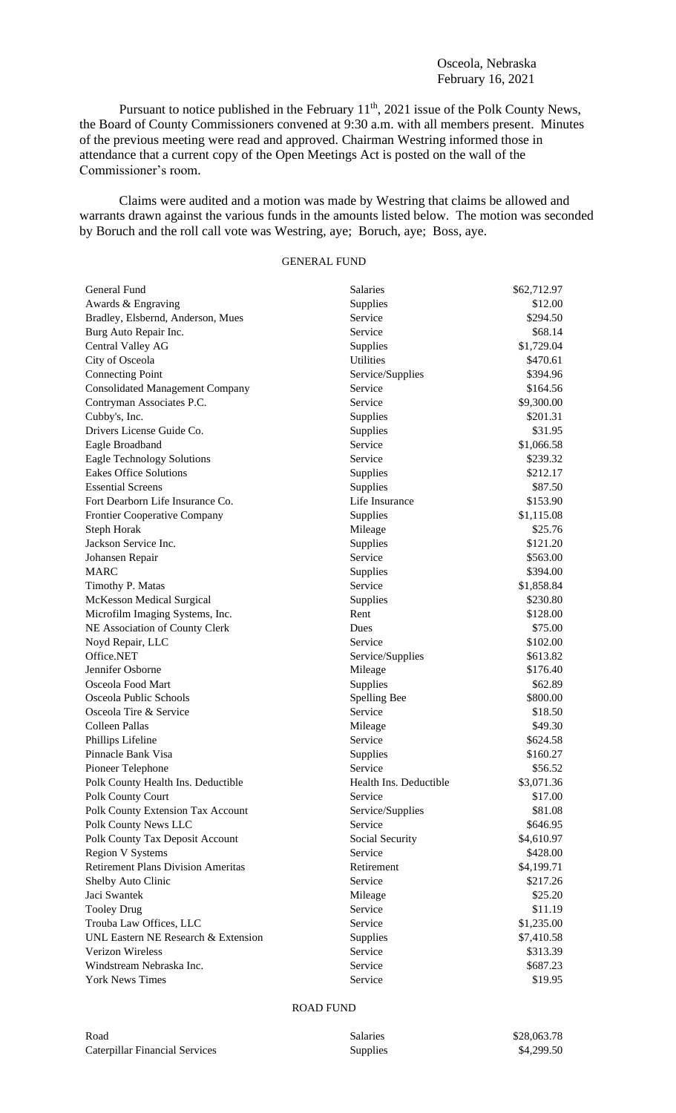## Osceola, Nebraska February 16, 2021

Pursuant to notice published in the February 11<sup>th</sup>, 2021 issue of the Polk County News, the Board of County Commissioners convened at 9:30 a.m. with all members present. Minutes of the previous meeting were read and approved. Chairman Westring informed those in attendance that a current copy of the Open Meetings Act is posted on the wall of the Commissioner's room.

Claims were audited and a motion was made by Westring that claims be allowed and warrants drawn against the various funds in the amounts listed below. The motion was seconded by Boruch and the roll call vote was Westring, aye; Boruch, aye; Boss, aye.

## GENERAL FUND

| General Fund                              | Salaries               | \$62,712.97 |
|-------------------------------------------|------------------------|-------------|
| Awards & Engraving                        | Supplies               | \$12.00     |
| Bradley, Elsbernd, Anderson, Mues         | Service                | \$294.50    |
| Burg Auto Repair Inc.                     | Service                | \$68.14     |
| Central Valley AG                         | Supplies               | \$1,729.04  |
| City of Osceola                           | <b>Utilities</b>       | \$470.61    |
| <b>Connecting Point</b>                   | Service/Supplies       | \$394.96    |
| <b>Consolidated Management Company</b>    | Service                | \$164.56    |
| Contryman Associates P.C.                 | Service                | \$9,300.00  |
| Cubby's, Inc.                             | Supplies               | \$201.31    |
| Drivers License Guide Co.                 | Supplies               | \$31.95     |
| Eagle Broadband                           | Service                | \$1,066.58  |
| <b>Eagle Technology Solutions</b>         | Service                | \$239.32    |
| <b>Eakes Office Solutions</b>             | Supplies               | \$212.17    |
| <b>Essential Screens</b>                  | Supplies               | \$87.50     |
| Fort Dearborn Life Insurance Co.          | Life Insurance         | \$153.90    |
| Frontier Cooperative Company              | Supplies               | \$1,115.08  |
| Steph Horak                               | Mileage                | \$25.76     |
| Jackson Service Inc.                      | Supplies               | \$121.20    |
| Johansen Repair                           | Service                | \$563.00    |
| <b>MARC</b>                               | Supplies               | \$394.00    |
| Timothy P. Matas                          | Service                | \$1,858.84  |
| <b>McKesson Medical Surgical</b>          | Supplies               | \$230.80    |
| Microfilm Imaging Systems, Inc.           | Rent                   | \$128.00    |
| NE Association of County Clerk            | Dues                   | \$75.00     |
| Noyd Repair, LLC                          | Service                | \$102.00    |
| Office.NET                                | Service/Supplies       | \$613.82    |
| Jennifer Osborne                          | Mileage                | \$176.40    |
| Osceola Food Mart                         | Supplies               | \$62.89     |
| Osceola Public Schools                    | Spelling Bee           | \$800.00    |
| Osceola Tire & Service                    | Service                | \$18.50     |
| Colleen Pallas                            | Mileage                | \$49.30     |
| Phillips Lifeline                         | Service                | \$624.58    |
| Pinnacle Bank Visa                        | Supplies               | \$160.27    |
| Pioneer Telephone                         | Service                | \$56.52     |
| Polk County Health Ins. Deductible        | Health Ins. Deductible | \$3,071.36  |
| Polk County Court                         | Service                | \$17.00     |
| Polk County Extension Tax Account         | Service/Supplies       | \$81.08     |
| Polk County News LLC                      | Service                | \$646.95    |
| Polk County Tax Deposit Account           | Social Security        | \$4,610.97  |
| <b>Region V Systems</b>                   | Service                | \$428.00    |
| <b>Retirement Plans Division Ameritas</b> | Retirement             | \$4,199.71  |
| Shelby Auto Clinic                        | Service                | \$217.26    |
| Jaci Swantek                              | Mileage                | \$25.20     |
| <b>Tooley Drug</b>                        | Service                | \$11.19     |
| Trouba Law Offices, LLC                   | Service                | \$1,235.00  |
| UNL Eastern NE Research & Extension       | Supplies               | \$7,410.58  |
| Verizon Wireless                          | Service                | \$313.39    |
| Windstream Nebraska Inc.                  | Service                | \$687.23    |
| <b>York News Times</b>                    | Service                | \$19.95     |

## ROAD FUND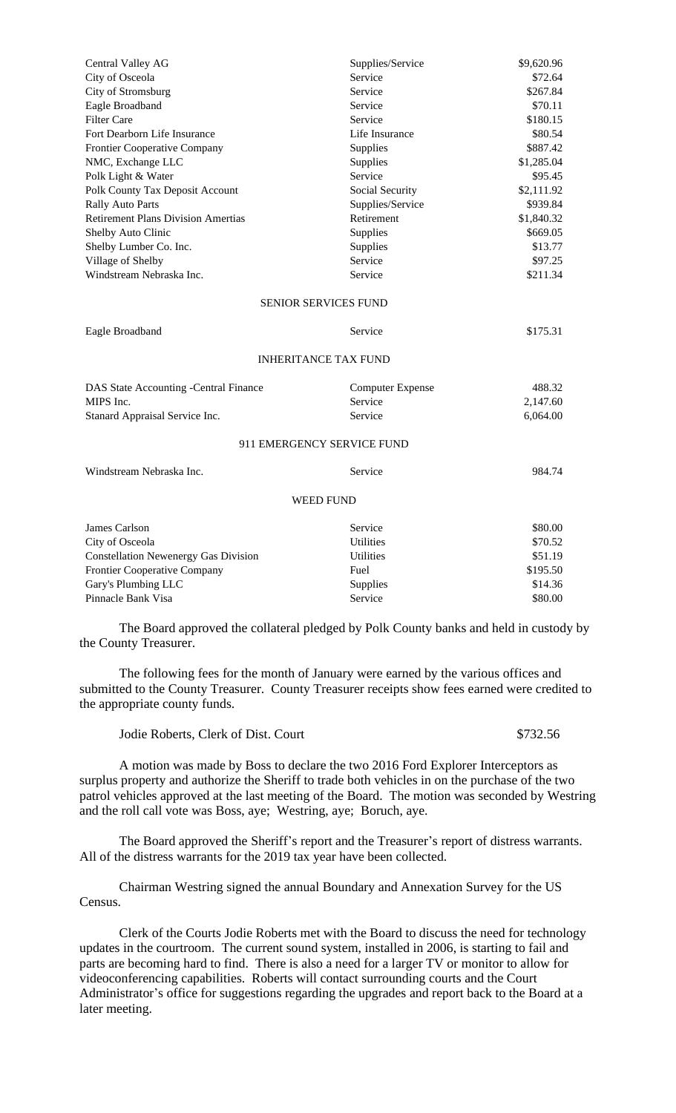| Central Valley AG                           | Supplies/Service            | \$9,620.96 |
|---------------------------------------------|-----------------------------|------------|
| City of Osceola                             | Service                     | \$72.64    |
| City of Stromsburg                          | Service                     | \$267.84   |
| Eagle Broadband                             | Service                     | \$70.11    |
| <b>Filter Care</b>                          | Service                     | \$180.15   |
| Fort Dearborn Life Insurance                | Life Insurance              | \$80.54    |
| Frontier Cooperative Company                | Supplies                    | \$887.42   |
| NMC, Exchange LLC                           | Supplies                    | \$1,285.04 |
| Polk Light & Water                          | Service                     | \$95.45    |
| Polk County Tax Deposit Account             | Social Security             | \$2,111.92 |
| <b>Rally Auto Parts</b>                     | Supplies/Service            | \$939.84   |
| <b>Retirement Plans Division Amertias</b>   | Retirement                  | \$1,840.32 |
| Shelby Auto Clinic                          | Supplies                    | \$669.05   |
| Shelby Lumber Co. Inc.                      | Supplies                    | \$13.77    |
| Village of Shelby                           | Service                     | \$97.25    |
| Windstream Nebraska Inc.                    | Service                     | \$211.34   |
|                                             | SENIOR SERVICES FUND        |            |
| Eagle Broadband                             | Service                     | \$175.31   |
|                                             | <b>INHERITANCE TAX FUND</b> |            |
| DAS State Accounting -Central Finance       | <b>Computer Expense</b>     | 488.32     |
| MIPS Inc.                                   | Service                     | 2,147.60   |
| Stanard Appraisal Service Inc.              | Service                     | 6,064.00   |
|                                             | 911 EMERGENCY SERVICE FUND  |            |
| Windstream Nebraska Inc.                    | Service                     | 984.74     |
|                                             | <b>WEED FUND</b>            |            |
| James Carlson                               | Service                     | \$80.00    |
| City of Osceola                             | <b>Utilities</b>            | \$70.52    |
| <b>Constellation Newenergy Gas Division</b> | <b>Utilities</b>            | \$51.19    |
| Frontier Cooperative Company                | Fuel                        | \$195.50   |
| Gary's Plumbing LLC                         | Supplies                    | \$14.36    |
| Pinnacle Bank Visa                          | Service                     | \$80.00    |

The Board approved the collateral pledged by Polk County banks and held in custody by the County Treasurer.

The following fees for the month of January were earned by the various offices and submitted to the County Treasurer. County Treasurer receipts show fees earned were credited to the appropriate county funds.

| Jodie Roberts, Clerk of Dist. Court | \$732.56 |
|-------------------------------------|----------|
|-------------------------------------|----------|

A motion was made by Boss to declare the two 2016 Ford Explorer Interceptors as surplus property and authorize the Sheriff to trade both vehicles in on the purchase of the two patrol vehicles approved at the last meeting of the Board. The motion was seconded by Westring and the roll call vote was Boss, aye; Westring, aye; Boruch, aye.

The Board approved the Sheriff's report and the Treasurer's report of distress warrants. All of the distress warrants for the 2019 tax year have been collected.

Chairman Westring signed the annual Boundary and Annexation Survey for the US Census.

Clerk of the Courts Jodie Roberts met with the Board to discuss the need for technology updates in the courtroom. The current sound system, installed in 2006, is starting to fail and parts are becoming hard to find. There is also a need for a larger TV or monitor to allow for videoconferencing capabilities. Roberts will contact surrounding courts and the Court Administrator's office for suggestions regarding the upgrades and report back to the Board at a later meeting.